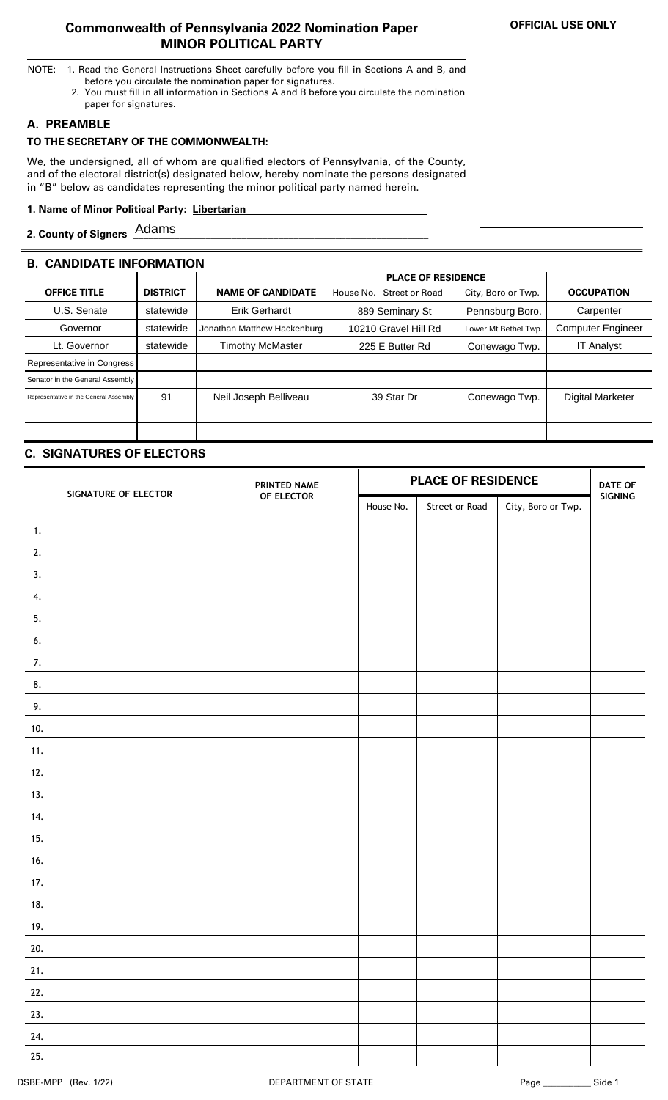### **Commonwealth of Pennsylvania 2022 Nomination Paper MINOR POLITICAL PARTY**

- NOTE: 1. Read the General Instructions Sheet carefully before you fill in Sections A and B, and before you circulate the nomination paper for signatures.
	- 2. You must fill in all information in Sections A and B before you circulate the nomination paper for signatures.

### **A. PREAMBLE**

## **TO THE SECRETARY OF THE COMMONWEALTH:**

We, the undersigned, all of whom are qualified electors of Pennsylvania, of the County, and of the electoral district(s) designated below, hereby nominate the persons designated in "B" below as candidates representing the minor political party named herein.

### **1. Name of Minor Political Party: Libertarian ..**

**2. County of Signers \_\_\_\_\_\_\_\_\_\_\_\_\_\_\_\_\_\_\_\_\_\_\_\_\_\_\_\_\_\_\_\_\_\_\_\_\_\_\_\_\_\_\_\_\_\_\_\_\_\_\_\_\_\_\_\_\_** Adams

# **B. CANDIDATE INFORMATION**

|                                        |                 |                             | <b>PLACE OF RESIDENCE</b>          |                      |                          |
|----------------------------------------|-----------------|-----------------------------|------------------------------------|----------------------|--------------------------|
| <b>OFFICE TITLE</b>                    | <b>DISTRICT</b> | <b>NAME OF CANDIDATE</b>    | <b>Street or Road</b><br>House No. | City, Boro or Twp.   | <b>OCCUPATION</b>        |
| U.S. Senate                            | statewide       | <b>Erik Gerhardt</b>        | 889 Seminary St                    | Pennsburg Boro.      | Carpenter                |
| Governor                               | statewide       | Jonathan Matthew Hackenburg | 10210 Gravel Hill Rd               | Lower Mt Bethel Twp. | <b>Computer Engineer</b> |
| Lt. Governor                           | statewide       | <b>Timothy McMaster</b>     | 225 E Butter Rd                    | Conewago Twp.        | <b>IT Analyst</b>        |
| Representative in Congress             |                 |                             |                                    |                      |                          |
| Senator in the General Assembly        |                 |                             |                                    |                      |                          |
| Representative in the General Assembly | 91              | Neil Joseph Belliveau       | 39 Star Dr                         | Conewago Twp.        | <b>Digital Marketer</b>  |
|                                        |                 |                             |                                    |                      |                          |
|                                        |                 |                             |                                    |                      |                          |

# **C. SIGNATURES OF ELECTORS**

| SIGNATURE OF ELECTOR | PRINTED NAME | <b>PLACE OF RESIDENCE</b> |                |                    | <b>DATE OF</b> |
|----------------------|--------------|---------------------------|----------------|--------------------|----------------|
|                      | OF ELECTOR   | House No.                 | Street or Road | City, Boro or Twp. | SIGNING        |
| $\mathbf{1}$ .       |              |                           |                |                    |                |
| 2.                   |              |                           |                |                    |                |
| 3.                   |              |                           |                |                    |                |
| 4.                   |              |                           |                |                    |                |
| 5.                   |              |                           |                |                    |                |
| 6.                   |              |                           |                |                    |                |
| 7.                   |              |                           |                |                    |                |
| 8.                   |              |                           |                |                    |                |
| 9.                   |              |                           |                |                    |                |
| 10.                  |              |                           |                |                    |                |
| 11.                  |              |                           |                |                    |                |
| 12.                  |              |                           |                |                    |                |
| 13.                  |              |                           |                |                    |                |
| 14.                  |              |                           |                |                    |                |
| 15.                  |              |                           |                |                    |                |
| 16.                  |              |                           |                |                    |                |
| 17.                  |              |                           |                |                    |                |
| 18.                  |              |                           |                |                    |                |
| 19.                  |              |                           |                |                    |                |
| 20.                  |              |                           |                |                    |                |
| 21.                  |              |                           |                |                    |                |
| 22.                  |              |                           |                |                    |                |
| 23.                  |              |                           |                |                    |                |
| 24.                  |              |                           |                |                    |                |
| 25.                  |              |                           |                |                    |                |